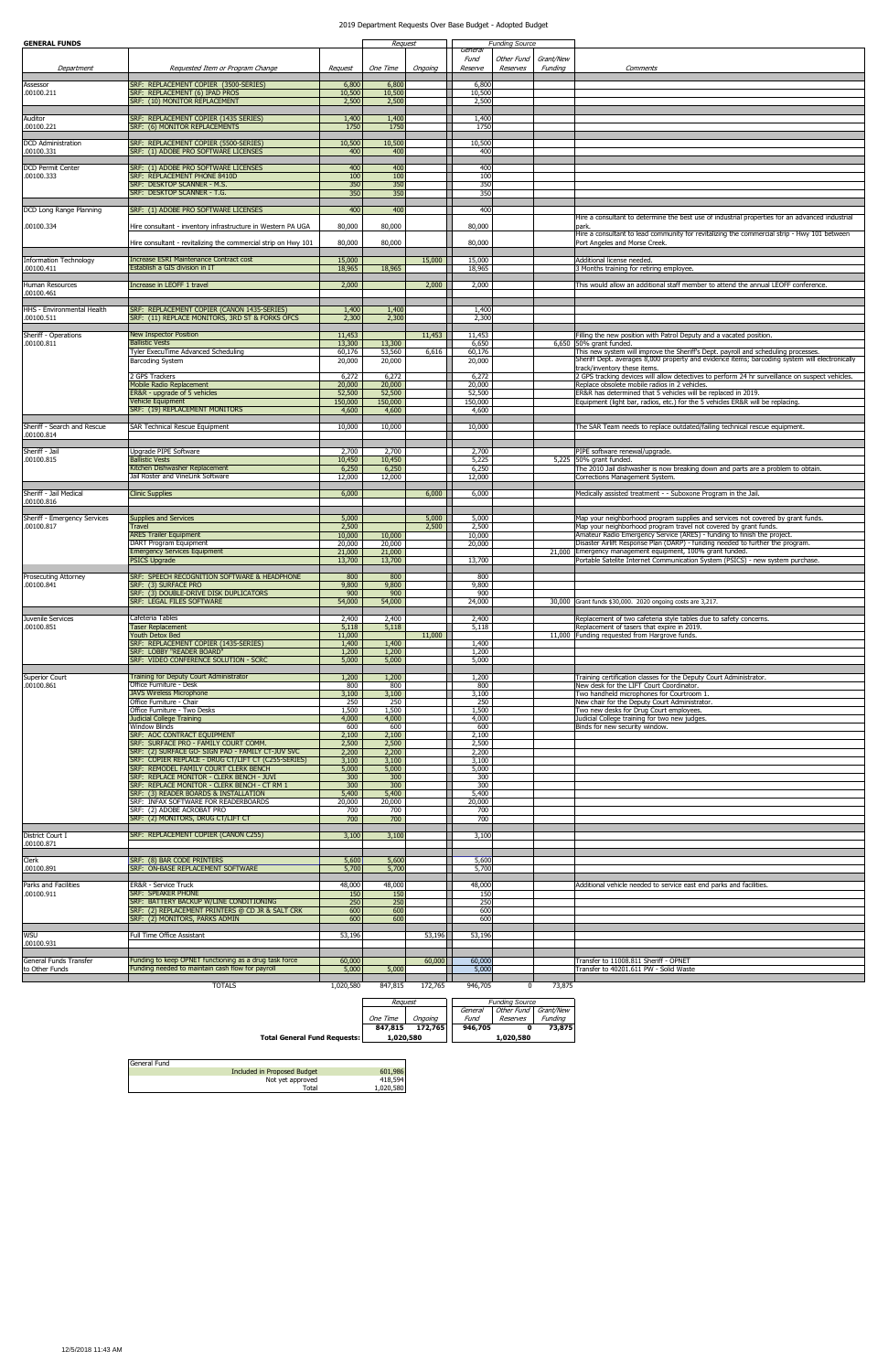| <b>GENERAL FUNDS</b>                       |                                                                                              |                  | Request          |                |                            | <b>Funding Source</b>  |                      |                                                                                                                                                                                      |
|--------------------------------------------|----------------------------------------------------------------------------------------------|------------------|------------------|----------------|----------------------------|------------------------|----------------------|--------------------------------------------------------------------------------------------------------------------------------------------------------------------------------------|
| Department                                 | Requested Item or Program Change                                                             | Request          | One Time         | Ongoing        | General<br>Fund<br>Reserve | Other Fund<br>Reserves | Grant/New<br>Funding | Comments                                                                                                                                                                             |
| Assessor                                   | SRF: REPLACEMENT COPIER (3500-SERIES)                                                        | 6,800            | 6,800            |                | 6,800                      |                        |                      |                                                                                                                                                                                      |
| .00100.211                                 | SRF: REPLACEMENT (6) IPAD PROS                                                               | 10,500           | 10,500           |                | 10,500                     |                        |                      |                                                                                                                                                                                      |
|                                            | SRF: (10) MONITOR REPLACEMENT                                                                | 2,500            | 2,500            |                | 2,500                      |                        |                      |                                                                                                                                                                                      |
| Auditor                                    | SRF: REPLACEMENT COPIER (1435 SERIES)                                                        | 1,400            | 1,400            |                | 1,400                      |                        |                      |                                                                                                                                                                                      |
| .00100.221                                 | SRF: (6) MONITOR REPLACEMENTS                                                                | 1750             | 1750             |                | 1750                       |                        |                      |                                                                                                                                                                                      |
| <b>DCD</b> Administration                  | SRF: REPLACEMENT COPIER (5500-SERIES)                                                        | 10,500           | 10,500           |                | 10,500                     |                        |                      |                                                                                                                                                                                      |
| .00100.331                                 | SRF: (1) ADOBE PRO SOFTWARE LICENSES                                                         | 400              | 400              |                | 400                        |                        |                      |                                                                                                                                                                                      |
| <b>DCD Permit Center</b>                   | SRF: (1) ADOBE PRO SOFTWARE LICENSES                                                         | 400              | 400              |                | 400                        |                        |                      |                                                                                                                                                                                      |
| .00100.333                                 | SRF: REPLACEMENT PHONE 8410D                                                                 | 100              | 100              |                | 100                        |                        |                      |                                                                                                                                                                                      |
|                                            | SRF: DESKTOP SCANNER - M.S.<br>SRF: DESKTOP SCANNER - T.G.                                   | 350<br>350       | 350<br>350       |                | 350<br>350                 |                        |                      |                                                                                                                                                                                      |
|                                            |                                                                                              |                  |                  |                |                            |                        |                      |                                                                                                                                                                                      |
| DCD Long Range Planning                    | SRF: (1) ADOBE PRO SOFTWARE LICENSES                                                         | 400              | 400              |                | 400                        |                        |                      | Hire a consultant to determine the best use of industrial properties for an advanced industrial                                                                                      |
| .00100.334                                 | Hire consultant - inventory infrastructure in Western PA UGA                                 | 80,000           | 80,000           |                | 80,000                     |                        |                      | park.                                                                                                                                                                                |
|                                            |                                                                                              |                  |                  |                |                            |                        |                      | Hire a consultant to lead community for revitalizing the commercial strip - Hwy 101 between                                                                                          |
|                                            | Hire consultant - revitalizing the commercial strip on Hwy 101                               | 80,000           | 80,000           |                | 80,000                     |                        |                      | Port Angeles and Morse Creek.                                                                                                                                                        |
| <b>Information Technology</b>              | <b>Increase ESRI Maintenance Contract cost</b>                                               | 15,000           |                  | 15,000         | 15,000                     |                        |                      | Additional license needed.                                                                                                                                                           |
| .00100.411                                 | Establish a GIS division in IT                                                               | 18,965           | 18,965           |                | 18,965                     |                        |                      | 3 Months training for retiring employee.                                                                                                                                             |
| Human Resources                            | Increase in LEOFF 1 travel                                                                   | 2,000            |                  | 2,000          | 2,000                      |                        |                      | This would allow an additional staff member to attend the annual LEOFF conference.                                                                                                   |
| .00100.461                                 |                                                                                              |                  |                  |                |                            |                        |                      |                                                                                                                                                                                      |
| <b>HHS - Environmental Health</b>          | SRF: REPLACEMENT COPIER (CANON 1435-SERIES)                                                  | 1,400            | 1,400            |                | 1,400                      |                        |                      |                                                                                                                                                                                      |
| .00100.511                                 | SRF: (11) REPLACE MONITORS, 3RD ST & FORKS OFCS                                              | 2,300            | 2,300            |                | 2,300                      |                        |                      |                                                                                                                                                                                      |
| Sheriff - Operations                       | New Inspector Position                                                                       | 11,453           |                  | 11,453         | 11,453                     |                        |                      | Filling the new position with Patrol Deputy and a vacated position.                                                                                                                  |
| .00100.811                                 | <b>Ballistic Vests</b>                                                                       | 13,300           | 13,300           |                | 6,650                      |                        |                      | 6,650 50% grant funded.                                                                                                                                                              |
|                                            | Tyler ExecuTime Advanced Scheduling                                                          | 60,176<br>20,000 | 53,560<br>20,000 | 6,616          | 60,176<br>20,000           |                        |                      | This new system will improve the Sheriff's Dept. payroll and scheduling processes.<br>Sheriff Dept. averages 8,000 property and evidence items; barcoding system will electronically |
|                                            | <b>Barcoding System</b>                                                                      |                  |                  |                |                            |                        |                      | track/inventory these items.                                                                                                                                                         |
|                                            | 2 GPS Trackers                                                                               | 6,272            | 6,272<br>20,000  |                | 6,272                      |                        |                      | 2 GPS tracking devices will allow detectives to perform 24 hr surveillance on suspect vehicles.<br>Replace obsolete mobile radios in 2 vehicles.                                     |
|                                            | <b>Mobile Radio Replacement</b><br>ER&R - upgrade of 5 vehicles                              | 20,000<br>52,500 | 52,500           |                | 20,000<br>52,500           |                        |                      | ER&R has determined that 5 vehicles will be replaced in 2019.                                                                                                                        |
|                                            | <b>Vehicle Equipment</b>                                                                     | 150,000          | 150,000          |                | 150,000                    |                        |                      | Equipment (light bar, radios, etc.) for the 5 vehicles ER&R will be replacing.                                                                                                       |
|                                            | SRF: (19) REPLACEMENT MONITORS                                                               | 4,600            | 4,600            |                | 4,600                      |                        |                      |                                                                                                                                                                                      |
| Sheriff - Search and Rescue                | <b>SAR Technical Rescue Equipment</b>                                                        | 10,000           | 10,000           |                | 10,000                     |                        |                      | The SAR Team needs to replace outdated/failing technical rescue equipment.                                                                                                           |
| .00100.814                                 |                                                                                              |                  |                  |                |                            |                        |                      |                                                                                                                                                                                      |
| Sheriff - Jail                             | Upgrade PIPE Software                                                                        | 2,700            | 2,700            |                | 2,700                      |                        |                      | PIPE software renewal/upgrade.                                                                                                                                                       |
| .00100.815                                 | <b>Ballistic Vests</b>                                                                       | 10,450           | 10,450           |                | 5,225                      |                        |                      | 5,225 50% grant funded.                                                                                                                                                              |
|                                            | Kitchen Dishwasher Replacement<br>Jail Roster and VineLink Software                          | 6,250<br>12,000  | 6,250<br>12,000  |                | 6,250<br>12,000            |                        |                      | The 2010 Jail dishwasher is now breaking down and parts are a problem to obtain.<br>Corrections Management System.                                                                   |
|                                            |                                                                                              |                  |                  |                |                            |                        |                      |                                                                                                                                                                                      |
| Sheriff - Jail Medical<br>.00100.816       | <b>Clinic Supplies</b>                                                                       | 6,000            |                  | 6,000          | 6,000                      |                        |                      | Medically assisted treatment - - Suboxone Program in the Jail                                                                                                                        |
|                                            |                                                                                              |                  |                  |                |                            |                        |                      |                                                                                                                                                                                      |
| Sheriff - Emergency Services<br>.00100.817 | Supplies and Services<br>Travel                                                              | 5,000<br>2,500   |                  | 5,000<br>2,500 | 5,000<br>2,500             |                        |                      | Map your neighborhood program supplies and services not covered by grant funds.<br>Map your neighborhood program travel not covered by grant funds.                                  |
|                                            | <b>ARES Trailer Equipment</b>                                                                | 10,000           | 10,000           |                | 10,000                     |                        |                      | Amateur Radio Emergency Service (ARES) - funding to finish the project.                                                                                                              |
|                                            | DART Program Equipment<br><b>Emergency Services Equipment</b>                                | 20,000<br>21,000 | 20,000<br>21,000 |                | 20,000                     |                        |                      | Disaster Airlift Response Plan (DARP) - funding needed to further the program.<br>21,000 Emergency management equipment, 100% grant funded.                                          |
|                                            | <b>PSICS Upgrade</b>                                                                         | 13,700           | 13,700           |                | 13,700                     |                        |                      | Portable Satelite Internet Communication System (PSICS) - new system purchase.                                                                                                       |
| Prosecuting Attorney                       | SRF: SPEECH RECOGNITION SOFTWARE & HEADPHONE                                                 | 800              | 800              |                | 800                        |                        |                      |                                                                                                                                                                                      |
| .00100.841                                 | SRF: (3) SURFACE PRO                                                                         | 9,800            | 9,800            |                | 9,800                      |                        |                      |                                                                                                                                                                                      |
|                                            | SRF: (3) DOUBLE-DRIVE DISK DUPLICATORS<br><b>SRF: LEGAL FILES SOFTWARE</b>                   | 900<br>54,000    | 900<br>54,000    |                | 900                        |                        |                      |                                                                                                                                                                                      |
|                                            |                                                                                              |                  |                  |                | 24,000                     |                        |                      | 30,000 Grant funds \$30,000. 2020 ongoing costs are 3,217.                                                                                                                           |
| Juvenile Services                          | Cafeteria Tables                                                                             | 2,400            | 2,400            |                | 2,400                      |                        |                      | Replacement of two cafeteria style tables due to safety concerns.                                                                                                                    |
| .00100.851                                 | <b>Taser Replacement</b><br>Youth Detox Bed                                                  | 5,118<br>11,000  | 5,118            | 11,000         | 5,118                      |                        |                      | Replacement of tasers that expire in 2019.<br>11,000 Funding requested from Hargrove funds.                                                                                          |
|                                            | SRF: REPLACEMENT COPIER (1435-SERIES)                                                        | 1,400            | 1,400            |                | 1,400                      |                        |                      |                                                                                                                                                                                      |
|                                            | SRF: LOBBY "READER BOARD"<br>SRF: VIDEO CONFERENCE SOLUTION - SCRC                           | 1,200<br>5,000   | 1,200<br>5,000   |                | 1,200<br>5,000             |                        |                      |                                                                                                                                                                                      |
|                                            |                                                                                              |                  |                  |                |                            |                        |                      |                                                                                                                                                                                      |
| Superior Court<br>.00100.861               | Training for Deputy Court Administrator<br>Office Furniture - Desk                           | 1,200<br>800     | 1,200<br>800     |                | 1,200<br>800               |                        |                      | Training certification classes for the Deputy Court Administrator.<br>New desk for the LIFT Court Coordinator.                                                                       |
|                                            | <b>JAVS Wireless Microphone</b>                                                              | 3,100            | 3,100            |                | 3,100                      |                        |                      | Two handheld microphones for Courtroom 1.                                                                                                                                            |
|                                            | Office Furniture - Chair<br>Office Furniture - Two Desks                                     | 250<br>1,500     | 250<br>1,500     |                | 250<br>1,500               |                        |                      | New chair for the Deputy Court Administrator.                                                                                                                                        |
|                                            | <b>Judicial College Training</b>                                                             | 4,000            | 4,000            |                | 4,000                      |                        |                      | Two new desks for Drug Court employees.<br>Judicial College training for two new judges.                                                                                             |
|                                            | <b>Window Blinds</b>                                                                         | 600              | 600              |                | 600                        |                        |                      | Binds for new security window.                                                                                                                                                       |
|                                            | SRF: AOC CONTRACT EQUIPMENT<br>SRF: SURFACE PRO - FAMILY COURT COMM.                         | 2,100<br>2,500   | 2,100<br>2,500   |                | 2,100<br>2,500             |                        |                      |                                                                                                                                                                                      |
|                                            | SRF: (2) SURFACE GO- SIGN PAD - FAMILY CT-JUV SVC                                            | 2,200            | 2,200            |                | 2,200                      |                        |                      |                                                                                                                                                                                      |
|                                            | SRF: COPIER REPLACE - DRUG CT/LIFT CT (C255-SERIES)<br>SRF: REMODEL FAMILY COURT CLERK BENCH | 3,100<br>5,000   | 3,100<br>5,000   |                | 3,100<br>5,000             |                        |                      |                                                                                                                                                                                      |
|                                            | SRF: REPLACE MONITOR - CLERK BENCH - JUVI                                                    | 300              | 300              |                | 300                        |                        |                      |                                                                                                                                                                                      |
|                                            | SRF: REPLACE MONITOR - CLERK BENCH - CT RM 1<br>SRF: (3) READER BOARDS & INSTALLATION        | 300<br>5,400     | 300<br>5,400     |                | 300<br>5,400               |                        |                      |                                                                                                                                                                                      |
|                                            | SRF: INFAX SOFTWARE FOR READERBOARDS                                                         | 20,000           | 20,000           |                | 20,000                     |                        |                      |                                                                                                                                                                                      |
|                                            | SRF: (2) ADOBE ACROBAT PRO<br>SRF: (2) MONITORS, DRUG CT/LIFT CT                             | 700<br>700       | 700<br>700       |                | 700<br>700                 |                        |                      |                                                                                                                                                                                      |
|                                            |                                                                                              |                  |                  |                |                            |                        |                      |                                                                                                                                                                                      |
| District Court I                           | SRF: REPLACEMENT COPIER (CANON C255)                                                         | 3,100            | 3,100            |                | 3,100                      |                        |                      |                                                                                                                                                                                      |
| .00100.871                                 |                                                                                              |                  |                  |                |                            |                        |                      |                                                                                                                                                                                      |
| Clerk<br>.00100.891                        | SRF: (8) BAR CODE PRINTERS<br>SRF: ON-BASE REPLACEMENT SOFTWARE                              | 5,600<br>5,700   | 5,600            |                | 5,600<br>5,700             |                        |                      |                                                                                                                                                                                      |
|                                            |                                                                                              |                  | 5,700            |                |                            |                        |                      |                                                                                                                                                                                      |
| Parks and Facilities                       | ER&R - Service Truck                                                                         | 48,000           | 48,000           |                | 48,000                     |                        |                      | Additional vehicle needed to service east end parks and facilities.                                                                                                                  |
| .00100.911                                 | SRF: SPEAKER PHONE<br>SRF: BATTERY BACKUP W/LINE CONDITIONING                                | 150<br>250       | 150<br>250       |                | 150<br>250                 |                        |                      |                                                                                                                                                                                      |
|                                            | SRF: (2) REPLACEMENT PRINTERS @ CD JR & SALT CRK                                             | 600              | 600              |                | 600                        |                        |                      |                                                                                                                                                                                      |
|                                            | SRF: (2) MONITORS, PARKS ADMIN                                                               | 600              | 600              |                | 600                        |                        |                      |                                                                                                                                                                                      |
| <b>WSU</b>                                 | Full Time Office Assistant                                                                   | 53,196           |                  | 53,196         | 53,196                     |                        |                      |                                                                                                                                                                                      |
| .00100.931                                 |                                                                                              |                  |                  |                |                            |                        |                      |                                                                                                                                                                                      |
| General Funds Transfer                     | Funding to keep OPNET functioning as a drug task force                                       | 60,000           |                  | 60,000         | 60,000                     |                        |                      | Transfer to 11008.811 Sheriff - OPNET                                                                                                                                                |
| to Other Funds                             | Funding needed to maintain cash flow for payroll                                             | 5,000            | 5,000            |                | 5,000                      |                        |                      | Transfer to 40201.611 PW - Solid Waste                                                                                                                                               |
|                                            | <b>TOTALS</b>                                                                                | 1,020,580        | 847,815          | 172,765        | 946,705                    | 0                      | 73,875               |                                                                                                                                                                                      |

 $\Gamma$ 

Ξ

|                                     | Reauest   |         |  | <b>Funding Source</b> |            |           |
|-------------------------------------|-----------|---------|--|-----------------------|------------|-----------|
|                                     |           |         |  | General               | Other Fund | Grant/New |
|                                     | One Time  | Onaoina |  | Fund                  | Reserves   | Fundina   |
|                                     | 847.815   | 172.765 |  | 946.705               |            | 73,875    |
| <b>Total General Fund Requests:</b> | 1.020.580 |         |  |                       | 1.020.580  |           |

| General Fund |                             |           |
|--------------|-----------------------------|-----------|
|              | Included in Proposed Budget | 601,986   |
|              | Not yet approved            | 418,594   |
|              | Total                       | 1,020,580 |

## 2019 Department Requests Over Base Budget - Adopted Budget